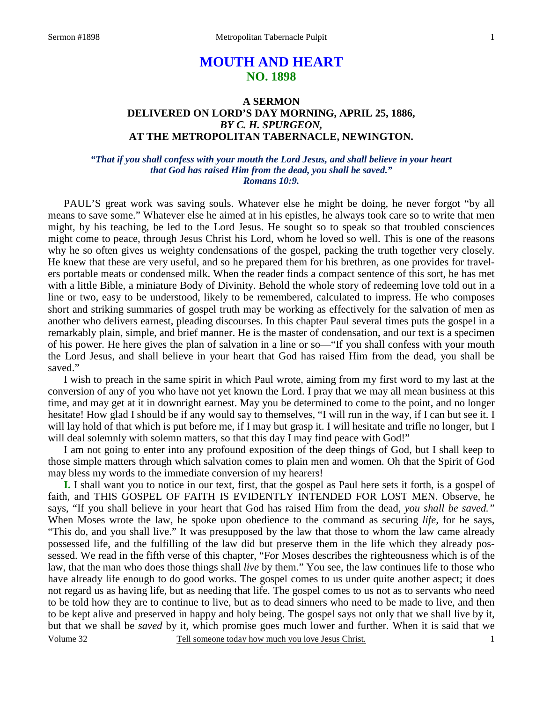# **MOUTH AND HEART NO. 1898**

## **A SERMON DELIVERED ON LORD'S DAY MORNING, APRIL 25, 1886,**  *BY C. H. SPURGEON,*  **AT THE METROPOLITAN TABERNACLE, NEWINGTON.**

### *"That if you shall confess with your mouth the Lord Jesus, and shall believe in your heart that God has raised Him from the dead, you shall be saved." Romans 10:9.*

PAUL'S great work was saving souls. Whatever else he might be doing, he never forgot "by all means to save some." Whatever else he aimed at in his epistles, he always took care so to write that men might, by his teaching, be led to the Lord Jesus. He sought so to speak so that troubled consciences might come to peace, through Jesus Christ his Lord, whom he loved so well. This is one of the reasons why he so often gives us weighty condensations of the gospel, packing the truth together very closely. He knew that these are very useful, and so he prepared them for his brethren, as one provides for travelers portable meats or condensed milk. When the reader finds a compact sentence of this sort, he has met with a little Bible, a miniature Body of Divinity. Behold the whole story of redeeming love told out in a line or two, easy to be understood, likely to be remembered, calculated to impress. He who composes short and striking summaries of gospel truth may be working as effectively for the salvation of men as another who delivers earnest, pleading discourses. In this chapter Paul several times puts the gospel in a remarkably plain, simple, and brief manner. He is the master of condensation, and our text is a specimen of his power. He here gives the plan of salvation in a line or so—"If you shall confess with your mouth the Lord Jesus, and shall believe in your heart that God has raised Him from the dead, you shall be saved."

 I wish to preach in the same spirit in which Paul wrote, aiming from my first word to my last at the conversion of any of you who have not yet known the Lord. I pray that we may all mean business at this time, and may get at it in downright earnest. May you be determined to come to the point, and no longer hesitate! How glad I should be if any would say to themselves, "I will run in the way, if I can but see it. I will lay hold of that which is put before me, if I may but grasp it. I will hesitate and trifle no longer, but I will deal solemnly with solemn matters, so that this day I may find peace with God!"

 I am not going to enter into any profound exposition of the deep things of God, but I shall keep to those simple matters through which salvation comes to plain men and women. Oh that the Spirit of God may bless my words to the immediate conversion of my hearers!

**I.** I shall want you to notice in our text, first, that the gospel as Paul here sets it forth, is a gospel of faith, and THIS GOSPEL OF FAITH IS EVIDENTLY INTENDED FOR LOST MEN. Observe, he says, "If you shall believe in your heart that God has raised Him from the dead, *you shall be saved."* When Moses wrote the law, he spoke upon obedience to the command as securing *life,* for he says, "This do, and you shall live." It was presupposed by the law that those to whom the law came already possessed life, and the fulfilling of the law did but preserve them in the life which they already possessed. We read in the fifth verse of this chapter, "For Moses describes the righteousness which is of the law, that the man who does those things shall *live* by them." You see, the law continues life to those who have already life enough to do good works. The gospel comes to us under quite another aspect; it does not regard us as having life, but as needing that life. The gospel comes to us not as to servants who need to be told how they are to continue to live, but as to dead sinners who need to be made to live, and then to be kept alive and preserved in happy and holy being. The gospel says not only that we shall live by it, but that we shall be *saved* by it, which promise goes much lower and further. When it is said that we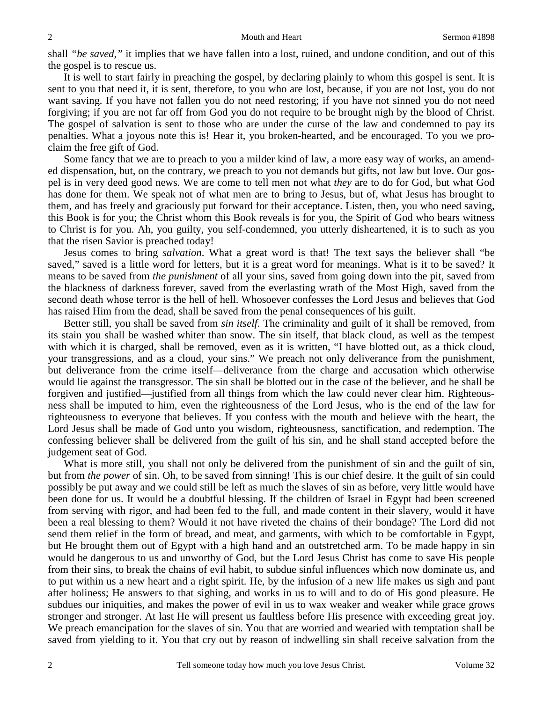shall *"be saved,"* it implies that we have fallen into a lost, ruined, and undone condition, and out of this the gospel is to rescue us.

 It is well to start fairly in preaching the gospel, by declaring plainly to whom this gospel is sent. It is sent to you that need it, it is sent, therefore, to you who are lost, because, if you are not lost, you do not want saving. If you have not fallen you do not need restoring; if you have not sinned you do not need forgiving; if you are not far off from God you do not require to be brought nigh by the blood of Christ. The gospel of salvation is sent to those who are under the curse of the law and condemned to pay its penalties. What a joyous note this is! Hear it, you broken-hearted, and be encouraged. To you we proclaim the free gift of God.

 Some fancy that we are to preach to you a milder kind of law, a more easy way of works, an amended dispensation, but, on the contrary, we preach to you not demands but gifts, not law but love. Our gospel is in very deed good news. We are come to tell men not what *they* are to do for God, but what God has done for them. We speak not of what men are to bring to Jesus, but of, what Jesus has brought to them, and has freely and graciously put forward for their acceptance. Listen, then, you who need saving, this Book is for you; the Christ whom this Book reveals is for you, the Spirit of God who bears witness to Christ is for you. Ah, you guilty, you self-condemned, you utterly disheartened, it is to such as you that the risen Savior is preached today!

 Jesus comes to bring *salvation*. What a great word is that! The text says the believer shall "be saved," saved is a little word for letters, but it is a great word for meanings. What is it to be saved? It means to be saved from *the punishment* of all your sins, saved from going down into the pit, saved from the blackness of darkness forever, saved from the everlasting wrath of the Most High, saved from the second death whose terror is the hell of hell. Whosoever confesses the Lord Jesus and believes that God has raised Him from the dead, shall be saved from the penal consequences of his guilt.

 Better still, you shall be saved from *sin itself*. The criminality and guilt of it shall be removed, from its stain you shall be washed whiter than snow. The sin itself, that black cloud, as well as the tempest with which it is charged, shall be removed, even as it is written, "I have blotted out, as a thick cloud, your transgressions, and as a cloud, your sins." We preach not only deliverance from the punishment, but deliverance from the crime itself—deliverance from the charge and accusation which otherwise would lie against the transgressor. The sin shall be blotted out in the case of the believer, and he shall be forgiven and justified—justified from all things from which the law could never clear him. Righteousness shall be imputed to him, even the righteousness of the Lord Jesus, who is the end of the law for righteousness to everyone that believes. If you confess with the mouth and believe with the heart, the Lord Jesus shall be made of God unto you wisdom, righteousness, sanctification, and redemption. The confessing believer shall be delivered from the guilt of his sin, and he shall stand accepted before the judgement seat of God.

What is more still, you shall not only be delivered from the punishment of sin and the guilt of sin, but from *the power* of sin. Oh, to be saved from sinning! This is our chief desire. It the guilt of sin could possibly be put away and we could still be left as much the slaves of sin as before, very little would have been done for us. It would be a doubtful blessing. If the children of Israel in Egypt had been screened from serving with rigor, and had been fed to the full, and made content in their slavery, would it have been a real blessing to them? Would it not have riveted the chains of their bondage? The Lord did not send them relief in the form of bread, and meat, and garments, with which to be comfortable in Egypt, but He brought them out of Egypt with a high hand and an outstretched arm. To be made happy in sin would be dangerous to us and unworthy of God, but the Lord Jesus Christ has come to save His people from their sins, to break the chains of evil habit, to subdue sinful influences which now dominate us, and to put within us a new heart and a right spirit. He, by the infusion of a new life makes us sigh and pant after holiness; He answers to that sighing, and works in us to will and to do of His good pleasure. He subdues our iniquities, and makes the power of evil in us to wax weaker and weaker while grace grows stronger and stronger. At last He will present us faultless before His presence with exceeding great joy. We preach emancipation for the slaves of sin. You that are worried and wearied with temptation shall be saved from yielding to it. You that cry out by reason of indwelling sin shall receive salvation from the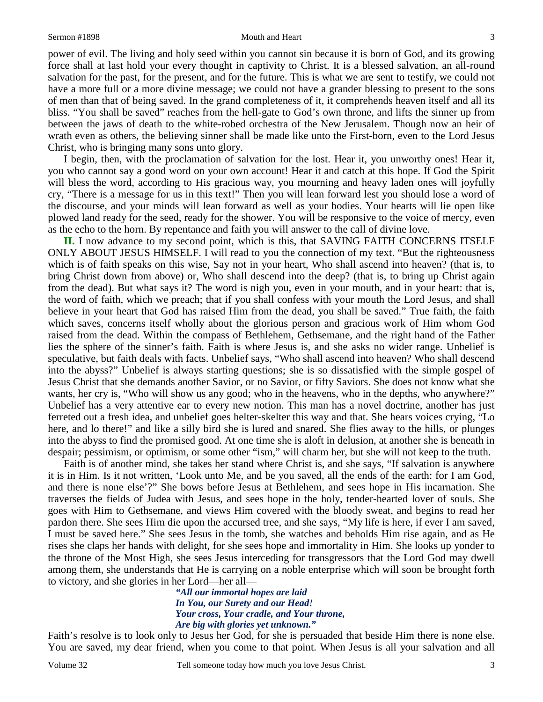#### Sermon #1898 Mouth and Heart 3

power of evil. The living and holy seed within you cannot sin because it is born of God, and its growing force shall at last hold your every thought in captivity to Christ. It is a blessed salvation, an all-round salvation for the past, for the present, and for the future. This is what we are sent to testify, we could not have a more full or a more divine message; we could not have a grander blessing to present to the sons of men than that of being saved. In the grand completeness of it, it comprehends heaven itself and all its bliss. "You shall be saved" reaches from the hell-gate to God's own throne, and lifts the sinner up from between the jaws of death to the white-robed orchestra of the New Jerusalem. Though now an heir of wrath even as others, the believing sinner shall be made like unto the First-born, even to the Lord Jesus Christ, who is bringing many sons unto glory.

 I begin, then, with the proclamation of salvation for the lost. Hear it, you unworthy ones! Hear it, you who cannot say a good word on your own account! Hear it and catch at this hope. If God the Spirit will bless the word, according to His gracious way, you mourning and heavy laden ones will joyfully cry, "There is a message for us in this text!" Then you will lean forward lest you should lose a word of the discourse, and your minds will lean forward as well as your bodies. Your hearts will lie open like plowed land ready for the seed, ready for the shower. You will be responsive to the voice of mercy, even as the echo to the horn. By repentance and faith you will answer to the call of divine love.

**II.** I now advance to my second point, which is this, that SAVING FAITH CONCERNS ITSELF ONLY ABOUT JESUS HIMSELF. I will read to you the connection of my text. "But the righteousness which is of faith speaks on this wise, Say not in your heart, Who shall ascend into heaven? (that is, to bring Christ down from above) or, Who shall descend into the deep? (that is, to bring up Christ again from the dead). But what says it? The word is nigh you, even in your mouth, and in your heart: that is, the word of faith, which we preach; that if you shall confess with your mouth the Lord Jesus, and shall believe in your heart that God has raised Him from the dead, you shall be saved." True faith, the faith which saves, concerns itself wholly about the glorious person and gracious work of Him whom God raised from the dead. Within the compass of Bethlehem, Gethsemane, and the right hand of the Father lies the sphere of the sinner's faith. Faith is where Jesus is, and she asks no wider range. Unbelief is speculative, but faith deals with facts. Unbelief says, "Who shall ascend into heaven? Who shall descend into the abyss?" Unbelief is always starting questions; she is so dissatisfied with the simple gospel of Jesus Christ that she demands another Savior, or no Savior, or fifty Saviors. She does not know what she wants, her cry is, "Who will show us any good; who in the heavens, who in the depths, who anywhere?" Unbelief has a very attentive ear to every new notion. This man has a novel doctrine, another has just ferreted out a fresh idea, and unbelief goes helter-skelter this way and that. She hears voices crying, "Lo here, and lo there!" and like a silly bird she is lured and snared. She flies away to the hills, or plunges into the abyss to find the promised good. At one time she is aloft in delusion, at another she is beneath in despair; pessimism, or optimism, or some other "ism," will charm her, but she will not keep to the truth.

 Faith is of another mind, she takes her stand where Christ is, and she says, "If salvation is anywhere it is in Him. Is it not written, 'Look unto Me, and be you saved, all the ends of the earth: for I am God, and there is none else'?" She bows before Jesus at Bethlehem, and sees hope in His incarnation. She traverses the fields of Judea with Jesus, and sees hope in the holy, tender-hearted lover of souls. She goes with Him to Gethsemane, and views Him covered with the bloody sweat, and begins to read her pardon there. She sees Him die upon the accursed tree, and she says, "My life is here, if ever I am saved, I must be saved here." She sees Jesus in the tomb, she watches and beholds Him rise again, and as He rises she claps her hands with delight, for she sees hope and immortality in Him. She looks up yonder to the throne of the Most High, she sees Jesus interceding for transgressors that the Lord God may dwell among them, she understands that He is carrying on a noble enterprise which will soon be brought forth to victory, and she glories in her Lord—her all—

*"All our immortal hopes are laid In You, our Surety and our Head! Your cross, Your cradle, and Your throne, Are big with glories yet unknown."* 

Faith's resolve is to look only to Jesus her God, for she is persuaded that beside Him there is none else. You are saved, my dear friend, when you come to that point. When Jesus is all your salvation and all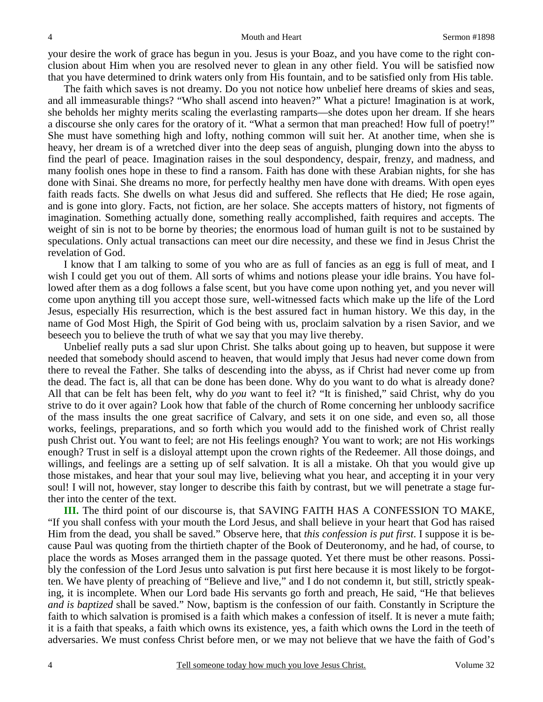your desire the work of grace has begun in you. Jesus is your Boaz, and you have come to the right conclusion about Him when you are resolved never to glean in any other field. You will be satisfied now that you have determined to drink waters only from His fountain, and to be satisfied only from His table.

 The faith which saves is not dreamy. Do you not notice how unbelief here dreams of skies and seas, and all immeasurable things? "Who shall ascend into heaven?" What a picture! Imagination is at work, she beholds her mighty merits scaling the everlasting ramparts—she dotes upon her dream. If she hears a discourse she only cares for the oratory of it. "What a sermon that man preached! How full of poetry!" She must have something high and lofty, nothing common will suit her. At another time, when she is heavy, her dream is of a wretched diver into the deep seas of anguish, plunging down into the abyss to find the pearl of peace. Imagination raises in the soul despondency, despair, frenzy, and madness, and many foolish ones hope in these to find a ransom. Faith has done with these Arabian nights, for she has done with Sinai. She dreams no more, for perfectly healthy men have done with dreams. With open eyes faith reads facts. She dwells on what Jesus did and suffered. She reflects that He died; He rose again, and is gone into glory. Facts, not fiction, are her solace. She accepts matters of history, not figments of imagination. Something actually done, something really accomplished, faith requires and accepts. The weight of sin is not to be borne by theories; the enormous load of human guilt is not to be sustained by speculations. Only actual transactions can meet our dire necessity, and these we find in Jesus Christ the revelation of God.

 I know that I am talking to some of you who are as full of fancies as an egg is full of meat, and I wish I could get you out of them. All sorts of whims and notions please your idle brains. You have followed after them as a dog follows a false scent, but you have come upon nothing yet, and you never will come upon anything till you accept those sure, well-witnessed facts which make up the life of the Lord Jesus, especially His resurrection, which is the best assured fact in human history. We this day, in the name of God Most High, the Spirit of God being with us, proclaim salvation by a risen Savior, and we beseech you to believe the truth of what we say that you may live thereby.

 Unbelief really puts a sad slur upon Christ. She talks about going up to heaven, but suppose it were needed that somebody should ascend to heaven, that would imply that Jesus had never come down from there to reveal the Father. She talks of descending into the abyss, as if Christ had never come up from the dead. The fact is, all that can be done has been done. Why do you want to do what is already done? All that can be felt has been felt, why do *you* want to feel it? "It is finished," said Christ, why do you strive to do it over again? Look how that fable of the church of Rome concerning her unbloody sacrifice of the mass insults the one great sacrifice of Calvary, and sets it on one side, and even so, all those works, feelings, preparations, and so forth which you would add to the finished work of Christ really push Christ out. You want to feel; are not His feelings enough? You want to work; are not His workings enough? Trust in self is a disloyal attempt upon the crown rights of the Redeemer. All those doings, and willings, and feelings are a setting up of self salvation. It is all a mistake. Oh that you would give up those mistakes, and hear that your soul may live, believing what you hear, and accepting it in your very soul! I will not, however, stay longer to describe this faith by contrast, but we will penetrate a stage further into the center of the text.

**III.** The third point of our discourse is, that SAVING FAITH HAS A CONFESSION TO MAKE, "If you shall confess with your mouth the Lord Jesus, and shall believe in your heart that God has raised Him from the dead, you shall be saved." Observe here, that *this confession is put first*. I suppose it is because Paul was quoting from the thirtieth chapter of the Book of Deuteronomy, and he had, of course, to place the words as Moses arranged them in the passage quoted. Yet there must be other reasons. Possibly the confession of the Lord Jesus unto salvation is put first here because it is most likely to be forgotten. We have plenty of preaching of "Believe and live," and I do not condemn it, but still, strictly speaking, it is incomplete. When our Lord bade His servants go forth and preach, He said, "He that believes *and is baptized* shall be saved." Now, baptism is the confession of our faith. Constantly in Scripture the faith to which salvation is promised is a faith which makes a confession of itself. It is never a mute faith; it is a faith that speaks, a faith which owns its existence, yes, a faith which owns the Lord in the teeth of adversaries. We must confess Christ before men, or we may not believe that we have the faith of God's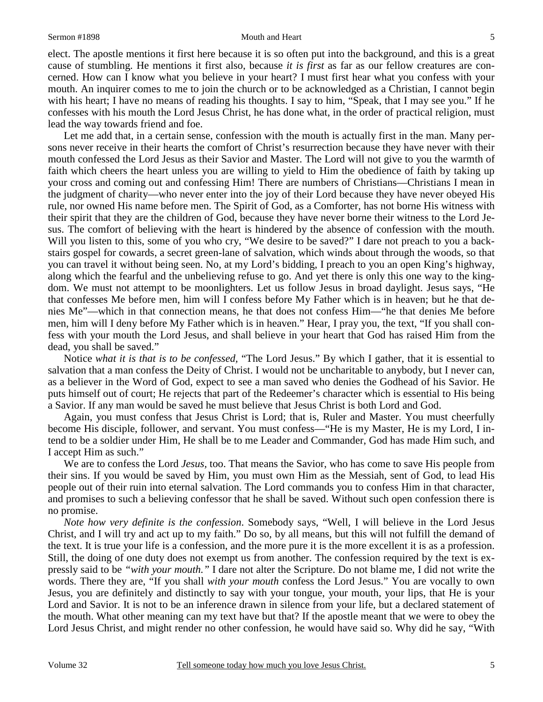#### Sermon #1898 **Mouth and Heart** 5

elect. The apostle mentions it first here because it is so often put into the background, and this is a great cause of stumbling. He mentions it first also, because *it is first* as far as our fellow creatures are concerned. How can I know what you believe in your heart? I must first hear what you confess with your mouth. An inquirer comes to me to join the church or to be acknowledged as a Christian, I cannot begin with his heart; I have no means of reading his thoughts. I say to him, "Speak, that I may see you." If he confesses with his mouth the Lord Jesus Christ, he has done what, in the order of practical religion, must lead the way towards friend and foe.

Let me add that, in a certain sense, confession with the mouth is actually first in the man. Many persons never receive in their hearts the comfort of Christ's resurrection because they have never with their mouth confessed the Lord Jesus as their Savior and Master. The Lord will not give to you the warmth of faith which cheers the heart unless you are willing to yield to Him the obedience of faith by taking up your cross and coming out and confessing Him! There are numbers of Christians—Christians I mean in the judgment of charity—who never enter into the joy of their Lord because they have never obeyed His rule, nor owned His name before men. The Spirit of God, as a Comforter, has not borne His witness with their spirit that they are the children of God, because they have never borne their witness to the Lord Jesus. The comfort of believing with the heart is hindered by the absence of confession with the mouth. Will you listen to this, some of you who cry, "We desire to be saved?" I dare not preach to you a backstairs gospel for cowards, a secret green-lane of salvation, which winds about through the woods, so that you can travel it without being seen. No, at my Lord's bidding, I preach to you an open King's highway, along which the fearful and the unbelieving refuse to go. And yet there is only this one way to the kingdom. We must not attempt to be moonlighters. Let us follow Jesus in broad daylight. Jesus says, "He that confesses Me before men, him will I confess before My Father which is in heaven; but he that denies Me"—which in that connection means, he that does not confess Him—"he that denies Me before men, him will I deny before My Father which is in heaven." Hear, I pray you, the text, "If you shall confess with your mouth the Lord Jesus, and shall believe in your heart that God has raised Him from the dead, you shall be saved."

 Notice *what it is that is to be confessed,* "The Lord Jesus." By which I gather, that it is essential to salvation that a man confess the Deity of Christ. I would not be uncharitable to anybody, but I never can, as a believer in the Word of God, expect to see a man saved who denies the Godhead of his Savior. He puts himself out of court; He rejects that part of the Redeemer's character which is essential to His being a Savior. If any man would be saved he must believe that Jesus Christ is both Lord and God.

 Again, you must confess that Jesus Christ is Lord; that is, Ruler and Master. You must cheerfully become His disciple, follower, and servant. You must confess—"He is my Master, He is my Lord, I intend to be a soldier under Him, He shall be to me Leader and Commander, God has made Him such, and I accept Him as such."

 We are to confess the Lord *Jesus,* too. That means the Savior, who has come to save His people from their sins. If you would be saved by Him, you must own Him as the Messiah, sent of God, to lead His people out of their ruin into eternal salvation. The Lord commands you to confess Him in that character, and promises to such a believing confessor that he shall be saved. Without such open confession there is no promise.

*Note how very definite is the confession*. Somebody says, "Well, I will believe in the Lord Jesus Christ, and I will try and act up to my faith." Do so, by all means, but this will not fulfill the demand of the text. It is true your life is a confession, and the more pure it is the more excellent it is as a profession. Still, the doing of one duty does not exempt us from another. The confession required by the text is expressly said to be *"with your mouth."* I dare not alter the Scripture. Do not blame me, I did not write the words. There they are, "If you shall *with your mouth* confess the Lord Jesus." You are vocally to own Jesus, you are definitely and distinctly to say with your tongue, your mouth, your lips, that He is your Lord and Savior. It is not to be an inference drawn in silence from your life, but a declared statement of the mouth. What other meaning can my text have but that? If the apostle meant that we were to obey the Lord Jesus Christ, and might render no other confession, he would have said so. Why did he say, "With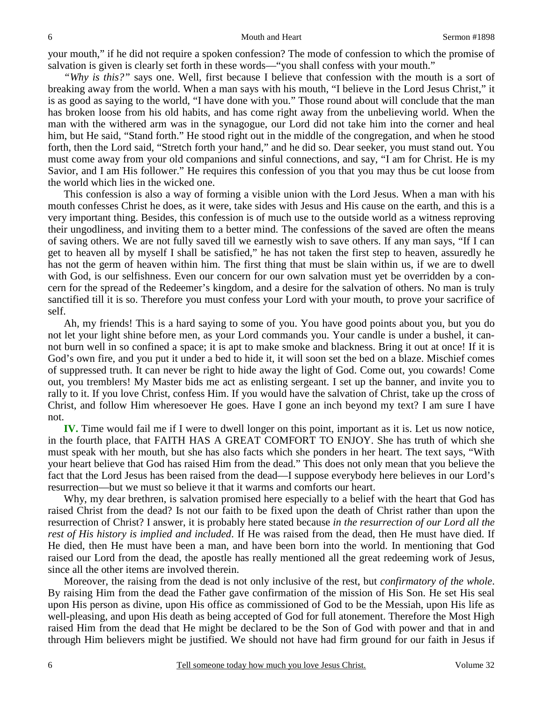your mouth," if he did not require a spoken confession? The mode of confession to which the promise of salvation is given is clearly set forth in these words—"you shall confess with your mouth."

*"Why is this?"* says one. Well, first because I believe that confession with the mouth is a sort of breaking away from the world. When a man says with his mouth, "I believe in the Lord Jesus Christ," it is as good as saying to the world, "I have done with you." Those round about will conclude that the man has broken loose from his old habits, and has come right away from the unbelieving world. When the man with the withered arm was in the synagogue, our Lord did not take him into the corner and heal him, but He said, "Stand forth." He stood right out in the middle of the congregation, and when he stood forth, then the Lord said, "Stretch forth your hand," and he did so. Dear seeker, you must stand out. You must come away from your old companions and sinful connections, and say, "I am for Christ. He is my Savior, and I am His follower." He requires this confession of you that you may thus be cut loose from the world which lies in the wicked one.

 This confession is also a way of forming a visible union with the Lord Jesus. When a man with his mouth confesses Christ he does, as it were, take sides with Jesus and His cause on the earth, and this is a very important thing. Besides, this confession is of much use to the outside world as a witness reproving their ungodliness, and inviting them to a better mind. The confessions of the saved are often the means of saving others. We are not fully saved till we earnestly wish to save others. If any man says, "If I can get to heaven all by myself I shall be satisfied," he has not taken the first step to heaven, assuredly he has not the germ of heaven within him. The first thing that must be slain within us, if we are to dwell with God, is our selfishness. Even our concern for our own salvation must yet be overridden by a concern for the spread of the Redeemer's kingdom, and a desire for the salvation of others. No man is truly sanctified till it is so. Therefore you must confess your Lord with your mouth, to prove your sacrifice of self.

 Ah, my friends! This is a hard saying to some of you. You have good points about you, but you do not let your light shine before men, as your Lord commands you. Your candle is under a bushel, it cannot burn well in so confined a space; it is apt to make smoke and blackness. Bring it out at once! If it is God's own fire, and you put it under a bed to hide it, it will soon set the bed on a blaze. Mischief comes of suppressed truth. It can never be right to hide away the light of God. Come out, you cowards! Come out, you tremblers! My Master bids me act as enlisting sergeant. I set up the banner, and invite you to rally to it. If you love Christ, confess Him. If you would have the salvation of Christ, take up the cross of Christ, and follow Him wheresoever He goes. Have I gone an inch beyond my text? I am sure I have not.

**IV.** Time would fail me if I were to dwell longer on this point, important as it is. Let us now notice, in the fourth place, that FAITH HAS A GREAT COMFORT TO ENJOY. She has truth of which she must speak with her mouth, but she has also facts which she ponders in her heart. The text says, "With your heart believe that God has raised Him from the dead." This does not only mean that you believe the fact that the Lord Jesus has been raised from the dead—I suppose everybody here believes in our Lord's resurrection—but we must so believe it that it warms and comforts our heart.

 Why, my dear brethren, is salvation promised here especially to a belief with the heart that God has raised Christ from the dead? Is not our faith to be fixed upon the death of Christ rather than upon the resurrection of Christ? I answer, it is probably here stated because *in the resurrection of our Lord all the rest of His history is implied and included*. If He was raised from the dead, then He must have died. If He died, then He must have been a man, and have been born into the world. In mentioning that God raised our Lord from the dead, the apostle has really mentioned all the great redeeming work of Jesus, since all the other items are involved therein.

 Moreover, the raising from the dead is not only inclusive of the rest, but *confirmatory of the whole*. By raising Him from the dead the Father gave confirmation of the mission of His Son. He set His seal upon His person as divine, upon His office as commissioned of God to be the Messiah, upon His life as well-pleasing, and upon His death as being accepted of God for full atonement. Therefore the Most High raised Him from the dead that He might be declared to be the Son of God with power and that in and through Him believers might be justified. We should not have had firm ground for our faith in Jesus if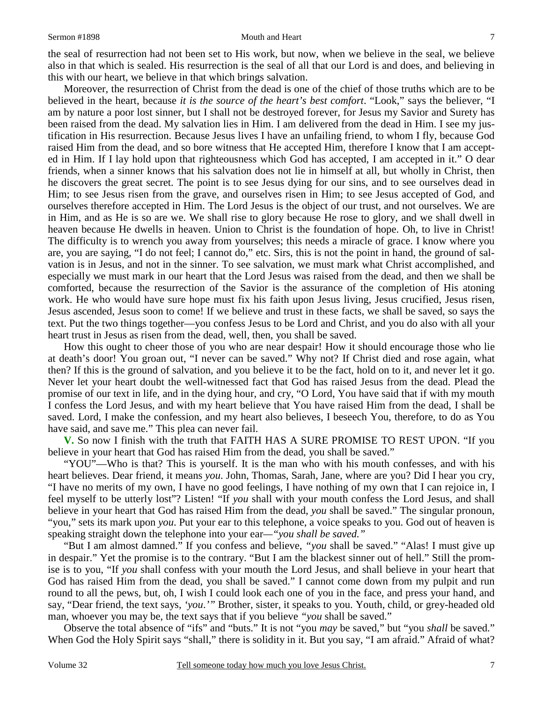#### Sermon #1898 **Mouth and Heart** 7

the seal of resurrection had not been set to His work, but now, when we believe in the seal, we believe also in that which is sealed. His resurrection is the seal of all that our Lord is and does, and believing in this with our heart, we believe in that which brings salvation.

 Moreover, the resurrection of Christ from the dead is one of the chief of those truths which are to be believed in the heart, because *it is the source of the heart's best comfort*. "Look," says the believer, "I am by nature a poor lost sinner, but I shall not be destroyed forever, for Jesus my Savior and Surety has been raised from the dead. My salvation lies in Him. I am delivered from the dead in Him. I see my justification in His resurrection. Because Jesus lives I have an unfailing friend, to whom I fly, because God raised Him from the dead, and so bore witness that He accepted Him, therefore I know that I am accepted in Him. If I lay hold upon that righteousness which God has accepted, I am accepted in it." O dear friends, when a sinner knows that his salvation does not lie in himself at all, but wholly in Christ, then he discovers the great secret. The point is to see Jesus dying for our sins, and to see ourselves dead in Him; to see Jesus risen from the grave, and ourselves risen in Him; to see Jesus accepted of God, and ourselves therefore accepted in Him. The Lord Jesus is the object of our trust, and not ourselves. We are in Him, and as He is so are we. We shall rise to glory because He rose to glory, and we shall dwell in heaven because He dwells in heaven. Union to Christ is the foundation of hope. Oh, to live in Christ! The difficulty is to wrench you away from yourselves; this needs a miracle of grace. I know where you are, you are saying, "I do not feel; I cannot do," etc. Sirs, this is not the point in hand, the ground of salvation is in Jesus, and not in the sinner. To see salvation, we must mark what Christ accomplished, and especially we must mark in our heart that the Lord Jesus was raised from the dead, and then we shall be comforted, because the resurrection of the Savior is the assurance of the completion of His atoning work. He who would have sure hope must fix his faith upon Jesus living, Jesus crucified, Jesus risen, Jesus ascended, Jesus soon to come! If we believe and trust in these facts, we shall be saved, so says the text. Put the two things together—you confess Jesus to be Lord and Christ, and you do also with all your heart trust in Jesus as risen from the dead, well, then, you shall be saved.

 How this ought to cheer those of you who are near despair! How it should encourage those who lie at death's door! You groan out, "I never can be saved." Why not? If Christ died and rose again, what then? If this is the ground of salvation, and you believe it to be the fact, hold on to it, and never let it go. Never let your heart doubt the well-witnessed fact that God has raised Jesus from the dead. Plead the promise of our text in life, and in the dying hour, and cry, "O Lord, You have said that if with my mouth I confess the Lord Jesus, and with my heart believe that You have raised Him from the dead, I shall be saved. Lord, I make the confession, and my heart also believes, I beseech You, therefore, to do as You have said, and save me." This plea can never fail.

**V.** So now I finish with the truth that FAITH HAS A SURE PROMISE TO REST UPON. "If you believe in your heart that God has raised Him from the dead, you shall be saved."

 "YOU"—Who is that? This is yourself. It is the man who with his mouth confesses, and with his heart believes. Dear friend, it means *you*. John, Thomas, Sarah, Jane, where are you? Did I hear you cry, "I have no merits of my own, I have no good feelings, I have nothing of my own that I can rejoice in, I feel myself to be utterly lost"? Listen! "If *you* shall with your mouth confess the Lord Jesus, and shall believe in your heart that God has raised Him from the dead, *you* shall be saved." The singular pronoun, "you," sets its mark upon *you*. Put your ear to this telephone, a voice speaks to you. God out of heaven is speaking straight down the telephone into your ear*—"you shall be saved."*

 "But I am almost damned." If you confess and believe, *"you* shall be saved." "Alas! I must give up in despair." Yet the promise is to the contrary. "But I am the blackest sinner out of hell." Still the promise is to you, "If *you* shall confess with your mouth the Lord Jesus, and shall believe in your heart that God has raised Him from the dead, you shall be saved." I cannot come down from my pulpit and run round to all the pews, but, oh, I wish I could look each one of you in the face, and press your hand, and say, "Dear friend, the text says, *'you*.*'"* Brother, sister, it speaks to you. Youth, child, or grey-headed old man, whoever you may be, the text says that if you believe *"you* shall be saved."

 Observe the total absence of "ifs" and "buts." It is not "you *may* be saved," but "you *shall* be saved." When God the Holy Spirit says "shall," there is solidity in it. But you say, "I am afraid." Afraid of what?